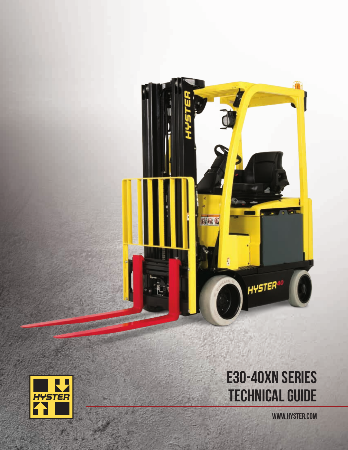



# E30-40XN SERIES TECHNICAL GUIDE

WWW.HYSTER.COM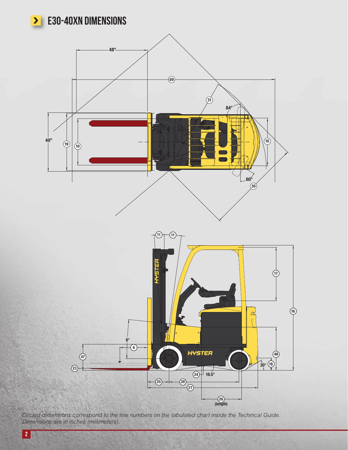# E30-40XN DIMENSIONS



*Circled dimensions correspond to the line numbers on the tabulated chart inside the Technical Guide. Dimensions are in inches (millimeters).*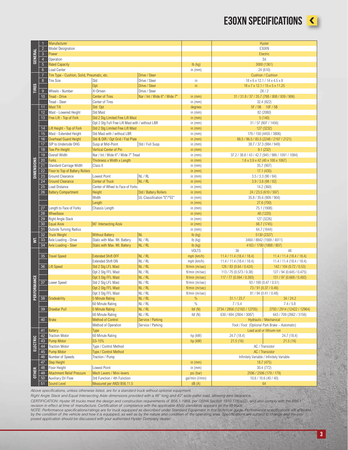#### E30XN SPECIFICATIONS



|                   | $\mathbf{1}$    | Manufacturer                                |                                                  |                               |                 |                                           | Hyster                                             |  |  |
|-------------------|-----------------|---------------------------------------------|--------------------------------------------------|-------------------------------|-----------------|-------------------------------------------|----------------------------------------------------|--|--|
| <b>GENERAL</b>    | $\overline{2}$  | Model Designation                           |                                                  |                               |                 |                                           | E30XN                                              |  |  |
|                   |                 | Power                                       |                                                  |                               |                 |                                           | Electric                                           |  |  |
|                   | $\sqrt{3}$      |                                             |                                                  |                               |                 |                                           |                                                    |  |  |
|                   | $\overline{4}$  | Operation                                   |                                                  |                               |                 |                                           | Sit                                                |  |  |
|                   | $5\phantom{.0}$ | <b>Rated Capacity</b>                       |                                                  |                               | $lb$ (kg)       |                                           | 3000 (1361)                                        |  |  |
|                   | $6\overline{6}$ | Load Center                                 |                                                  |                               | in $(mm)$       |                                           | 24 (610)                                           |  |  |
|                   | $\overline{7}$  | Tire Type - Cushion, Solid, Pneumatic, etc. |                                                  | Drive / Steer                 |                 |                                           | Cushion / Cushion                                  |  |  |
|                   | $8\phantom{.}$  | <b>Tire Size</b><br>Std                     |                                                  | Drive / Steer                 | in              |                                           | $18 \times 6 \times 12.1 / 14 \times 4.5 \times 8$ |  |  |
|                   |                 |                                             | Opt                                              | Drive / Steer                 | in              |                                           | 18 x 7 x 12.1 / 15 x 5 x 11.25                     |  |  |
| <b>TIRES</b>      | 9               | Wheels - Number                             | X=Driven                                         | Drive / Steer                 |                 |                                           | 2X/2                                               |  |  |
|                   | 10 <sup>1</sup> | Tread - Drive                               | <b>Center of Tires</b>                           | Nar / Int / Wide 6" / Wide 7" | in $(mm)$       |                                           | 31 / 31.8 / 37 / 35.7 (788 / 808 / 939 / 906)      |  |  |
|                   |                 | Tread - Steer                               |                                                  |                               |                 |                                           |                                                    |  |  |
|                   |                 |                                             | <b>Center of Tires</b>                           |                               | in $(mm)$       |                                           | 32.4 (822)                                         |  |  |
|                   | 11              | <b>Mast Tilt</b>                            | Std Opt                                          |                               | degrees         |                                           | 5F / 5B 10F / 5B                                   |  |  |
|                   | 12              | Mast - Lowered Height                       | Std Mast                                         |                               | in $(mm)$       |                                           | 82 (2080)                                          |  |  |
|                   | 13              | Free Lift - Top of Fork                     | Std 2 Stg Limited Free Lift Mast                 |                               | in $(mm)$       |                                           | 5(140)                                             |  |  |
|                   |                 |                                             | Opt 2 Stg Full Free Lift Mast with / without LBR |                               | in $(mm)$       |                                           | 31 / 57 (807 / 1456)                               |  |  |
|                   | 14              | Lift Height - Top of Fork                   | Std 2 Stg Limited Free Lift Mast                 |                               | in $(mm)$       |                                           | 127 (3232)                                         |  |  |
|                   | 15              | Mast - Extended Height                      | Std Mast with / without LBR                      |                               | in $(mm)$       |                                           | 176 / 150 (4455 / 3806)                            |  |  |
|                   | 16              | <b>Overhead Guard Height</b>                | Std & DIR / Opt Grid / Flat Plate                |                               | in $(mm)$       |                                           | 88.5 / 86.5 / 83.5 (2248 / 2197 / 2121)            |  |  |
|                   | 17              | SIP to Underside OHG                        | Susp at Mid-Point                                | Std / Full Susp               | in $(mm)$       |                                           | 38.7 / 37.3 (984 / 949)                            |  |  |
|                   | 18              | <b>Tow Pin Height</b>                       | <b>Vertical Center of Pin</b>                    |                               | in $(mm)$       |                                           | 9.1(232)                                           |  |  |
|                   | 19              | Overall Width                               | Nar / Int / Wide 6" / Wide 7" Tread              |                               | in $(mm)$       |                                           | 37.2 / 38.8 / 43 / 42.7 (945 / 986 / 1091 / 1084)  |  |  |
|                   | $20\,$          | Forks                                       |                                                  |                               |                 |                                           |                                                    |  |  |
|                   |                 |                                             | Thickness x Width x Length                       |                               | in $(mm)$       |                                           | $1.6 \times 3.9 \times 42$ (40 x 100 x 1067)       |  |  |
| <b>DIMENSIONS</b> | 21              | Standard Carriage Width                     | Class II                                         |                               | in $(mm)$       |                                           | 35.7 (907)                                         |  |  |
|                   | 22              | Floor to Top of Battery Rollers             |                                                  |                               | in $(mm)$       | 17.1 (435)                                |                                                    |  |  |
|                   | $\overline{23}$ | Ground Clearance                            | Lowest Point                                     | NL/RL                         | in $(mm)$       | 3.5 / 3.3 (90 / 84)                       |                                                    |  |  |
|                   | 24              | <b>Ground Clearance</b>                     | <b>Center of Truck</b>                           | NL / RL                       | in $(mm)$       |                                           | 3.9 / 3.6 (98 / 92)                                |  |  |
|                   | 25              | Load Distance                               | Center of Wheel to Face of Forks                 |                               | in $(mm)$       | 14.2 (360)                                |                                                    |  |  |
|                   | 26              | <b>Battery Compartment</b>                  | Height                                           | Std / Battery Rollers         | in $(mm)$       |                                           | 24 / 23.5 (610 / 597)                              |  |  |
|                   |                 |                                             | Width                                            | UL Classification "E"/"EE"    | in $(mm)$       |                                           | 35.8 / 35.6 (909 / 904)                            |  |  |
|                   |                 |                                             | Length                                           |                               | in $(mm)$       |                                           | 27.6 (700)                                         |  |  |
|                   | 27              | Length to Face of Forks                     | Chassis Length                                   |                               | in $(mm)$       |                                           | 75.1 (1908)                                        |  |  |
|                   | 28              | Wheelbase                                   |                                                  |                               | in $(mm)$       |                                           | 48 (1220)                                          |  |  |
|                   | 29              | Right Angle Stack                           |                                                  |                               | in $(mm)$       |                                           | 127 (3226)                                         |  |  |
|                   | 30              | <b>Equal Aisle</b>                          | 90° Intersecting Aisle                           |                               | in $(mm)$       |                                           | 68.7 (1745)                                        |  |  |
|                   | 31              | Outside Turning Radius                      |                                                  |                               | in $(mm)$       |                                           |                                                    |  |  |
|                   | 32              | <b>Truck Weight</b>                         | <b>Without Battery</b>                           | NL                            | $Ib$ (kg)       | 64.7 (1644)<br>5130 (2327)                |                                                    |  |  |
|                   |                 |                                             |                                                  | NL/RL                         |                 |                                           |                                                    |  |  |
| ξ                 | 33              | Axle Loading - Drive                        | Static with Max. Wt. Battery                     |                               | $lb$ (kg)       |                                           | 3460 / 8842 (1569 / 4011)                          |  |  |
|                   | 34              | Axle Loading - Steer                        | Static with Max. Wt. Battery                     | NL / RL                       | $Ib$ (kg)       |                                           | 4163 / 1780 (1888 / 807)                           |  |  |
|                   |                 |                                             |                                                  |                               | <b>VOLTS</b>    | 36                                        | 48                                                 |  |  |
|                   | 35              | <b>Travel Speed</b>                         | <b>Extended Shift OFF</b>                        | NL/RL                         | mph (km/h)      | 11.4 / 11.4 (18.4 / 18.4)                 | 11.4 / 11.4 (18.4 / 18.4)                          |  |  |
|                   |                 |                                             | <b>Extended Shift ON</b>                         | NL / RL                       | mph (km/h)      | 11.4 / 11.4 (18.4 / 18.4)                 | 11.4 / 11.4 (18.4 / 18.4)                          |  |  |
|                   | $\overline{36}$ | Lift Speed                                  | Std 2 Stg LFL Mast                               | NL/RL                         | ft/min (m/sec)  | 126 / 83 (0.64 / 0.424)                   | 142 / 104 (0.72 / 0.53)                            |  |  |
|                   |                 |                                             | Opt 2 Stg FFL Mast                               | NL / RL                       | ft/min (m/sec)  | 113 / 75 (0.573 / 0.38)                   | 127 / 94 (0.645 / 0.475)                           |  |  |
|                   |                 |                                             | Opt 3 Stg FFL Mast                               | NL/RL                         | ft/min (m/sec)  | 117 / 77 (0.594 / 0.393)                  | 131 / 97 (0.668 / 0.492)                           |  |  |
| ORMANCE           | 37              | Lower Speed                                 | Std 2 Stg LFL Mast                               | NL / RL                       | ft/min (m/sec)  |                                           | 93 / 100 (0.47 / 0.51)                             |  |  |
|                   |                 |                                             | Opt 2 Stg FFL Mast                               | NL/RL                         | ft/min (m/sec)  |                                           | 73 / 91 (0.37 / 0.46)                              |  |  |
|                   |                 |                                             | Opt 3 Stg FFL Mast                               | NL / RL                       | ft/min (m/sec)  |                                           | 81 / 94 (0.41 / 0.48)                              |  |  |
| PERF              | 38              | Gradeability                                | 5 Minute Rating                                  | NL/RL                         | %               | 31.1 / 23.7                               | 34 / 24.2                                          |  |  |
|                   |                 |                                             | 60 Minute Rating                                 | NL/RL                         | $\%$            | 7/5.4                                     | 7.4 / 5.8                                          |  |  |
|                   | 39              | Drawbar Pull                                | 5 Minute Rating                                  | NL/RL                         | Ibf(M)          | 2734 / 2856 (12163 / 12705)               | 2793 / 2914 (12422 / 12964)                        |  |  |
|                   |                 |                                             | 60 Minute Rating                                 | NL/RL                         |                 | 630 / 694 (2804 / 3087)                   | 643 / 709 (2862 / 3156)                            |  |  |
|                   |                 |                                             |                                                  |                               | Ibf(M)          |                                           |                                                    |  |  |
|                   | 40              | <b>Brake</b>                                | <b>Method of Control</b>                         | Service / Parking             |                 |                                           | Hydraulic / Mechanical                             |  |  |
|                   |                 |                                             | Method of Operation                              | Service / Parking             |                 |                                           | Foot / Foot (Optional Park Brake - Automatic)      |  |  |
|                   | 41              | <b>Battery</b>                              | Type                                             |                               |                 |                                           | Lead acid or lithium-ion                           |  |  |
|                   | 42              | <b>Traction Motor</b>                       | 60 Minute Rating                                 |                               | hp (kW)         | 24.7 (18.4)<br>24.7 (18.4)                |                                                    |  |  |
| ELECTRIC          | 43              | Pump Motor                                  | S3-15%                                           |                               | hp (kW)         | 21.5(16)                                  | 21.5(16)                                           |  |  |
|                   | 44              | <b>Traction Motor</b>                       | Type / Control Method                            |                               |                 |                                           | AC / Transistor                                    |  |  |
|                   | 45              | <b>Pump Motor</b><br>Type / Control Method  |                                                  |                               |                 | AC / Transistor                           |                                                    |  |  |
|                   | 46              | Number of Speeds                            | Traction / Pump                                  |                               |                 | Infinitely Variable / Infinitely Variable |                                                    |  |  |
|                   | 47              | <b>Step Height</b>                          |                                                  |                               | in $(mm)$       |                                           | 18.7 (475)                                         |  |  |
|                   | 48              | Floor Height                                | Lowest Point                                     |                               | in $(mm)$       | 30.4 (772)                                |                                                    |  |  |
| <b>OTHER</b>      | 49              | <b>Attachment Relief Pressure</b>           | Mech Levers / Mini-levers                        |                               | psi (bar)       |                                           | 2596 / 2596 (179 / 179)                            |  |  |
|                   | 50              | Auxiliary Oil Flow                          | 3rd Function / 4th Function                      |                               | gal/min (I/min) |                                           | 10.6 / 10.6 (40 / 40)                              |  |  |
|                   | 51              | Sound Level                                 | Measured per ANSI B56.11.5                       |                               | dB(A)           |                                           |                                                    |  |  |
|                   |                 |                                             |                                                  |                               |                 | 64                                        |                                                    |  |  |

*Above specifications, unless otherwise listed, are for a standard truck without optional equipment.*

*Right Angle Stack and Equal Intersecting Aisle dimensions provided with a 48" long and 40" wide pallet load, allowing zero clearance.* 

CERTIFICATION: Hyster lift trucks meet the design and construction requirements of B56.1-1969, per OSHA Section 1910.178(a)(2), and also comply with the B56.1<br>revision in effect at time of manufacture. Certification of com

by the condition of the vehicle and how it is equipped, as well as by the nature and condition of the operating area. Specifications are subject to change and the pro-<br>posed application should be discussed with your author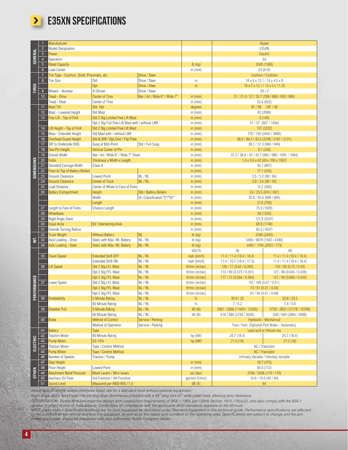

## **>** E35XN SPECIFICATIONS

|                         |                 | Manufacturer                                |                                                  |                               |                 |                                          | <b>Hyster</b>                                      |  |  |  |
|-------------------------|-----------------|---------------------------------------------|--------------------------------------------------|-------------------------------|-----------------|------------------------------------------|----------------------------------------------------|--|--|--|
|                         | $\overline{2}$  | <b>Model Designation</b>                    |                                                  |                               |                 |                                          | E35XN                                              |  |  |  |
| <b>GENERAL</b>          | $\overline{3}$  | Power                                       |                                                  |                               |                 |                                          | Electric                                           |  |  |  |
|                         | $\overline{4}$  | Operation                                   |                                                  |                               |                 |                                          | Sit                                                |  |  |  |
|                         |                 |                                             |                                                  |                               |                 |                                          |                                                    |  |  |  |
|                         | $\overline{5}$  | <b>Rated Capacity</b>                       |                                                  |                               | $Ib$ (kg)       |                                          | 3500 (1588)                                        |  |  |  |
|                         | $6\overline{6}$ | Load Center                                 |                                                  |                               | in $(mm)$       | 24 (610)                                 |                                                    |  |  |  |
|                         | $\overline{7}$  | Tire Type - Cushion, Solid, Pneumatic, etc. |                                                  | Drive / Steer                 |                 |                                          | <b>Cushion / Cushion</b>                           |  |  |  |
|                         | 8 <sup>°</sup>  | <b>Tire Size</b>                            | Std                                              | Drive / Steer                 | in              |                                          | $18 \times 6 \times 12.1 / 14 \times 4.5 \times 8$ |  |  |  |
| <b>TIRES</b>            |                 |                                             | Opt                                              | Drive / Steer                 | in.             |                                          | 18 x 7 x 12.1 / 15 x 5 x 11.25                     |  |  |  |
|                         |                 |                                             |                                                  |                               |                 |                                          |                                                    |  |  |  |
|                         | 9               | Wheels - Number                             | X=Driven                                         | Drive / Steer                 |                 |                                          | 2X/2                                               |  |  |  |
|                         | 10 <sup>1</sup> | Tread - Drive                               | <b>Center of Tires</b>                           | Nar / Int / Wide 6" / Wide 7" | in $(mm)$       |                                          | 31 / 31.8 / 37 / 35.7 (788 / 808 / 939 / 906)      |  |  |  |
|                         |                 | Tread - Steer                               | Center of Tires                                  |                               | in $(mm)$       |                                          | 32.4 (822)                                         |  |  |  |
|                         | 11              | <b>Mast Tilt</b>                            | Std Opt                                          |                               | degrees         |                                          | 5F / 5B 10F / 5B                                   |  |  |  |
|                         | 12              | Mast - Lowered Height                       | Std Mast                                         |                               | in $(mm)$       |                                          | 82 (2080)                                          |  |  |  |
|                         | 13              | Free Lift - Top of Fork                     | Std 2 Stg Limited Free Lift Mast                 |                               | in $(mm)$       |                                          | 5(140)                                             |  |  |  |
|                         |                 |                                             |                                                  |                               |                 |                                          |                                                    |  |  |  |
|                         |                 |                                             | Opt 2 Stg Full Free Lift Mast with / without LBR |                               | in $(mm)$       |                                          | 31 / 57 (807 / 1456)                               |  |  |  |
|                         | 14              | Lift Height - Top of Fork                   | Std 2 Stg Limited Free Lift Mast                 |                               | in $(mm)$       |                                          | 127 (3232)                                         |  |  |  |
|                         | 15              | Mast - Extended Height                      | Std Mast with / without LBR                      |                               | in $(mm)$       |                                          | 176 / 150 (4455 / 3806)                            |  |  |  |
|                         | 16              | Overhead Guard Height                       | Std & DIR / Opt Grid / Flat Plate                |                               | in $(mm)$       |                                          | 88.5 / 86.5 / 83.5 (2248 / 2197 / 2121)            |  |  |  |
|                         | 17              | SIP to Underside OHG                        | Susp at Mid-Point                                | Std / Full Susp               | in $(mm)$       |                                          | 38.7 / 37.3 (984 / 949)                            |  |  |  |
|                         | 18              | <b>Tow Pin Height</b>                       | Vertical Center of Pin                           |                               | in $(mm)$       |                                          | 9.1(232)                                           |  |  |  |
|                         | 19              | Overall Width                               | Nar / Int / Wide 6" / Wide 7" Tread              |                               | in $(mm)$       |                                          | 37.2 / 38.8 / 43 / 42.7 (945 / 986 / 1091 / 1084)  |  |  |  |
|                         | $20\,$          |                                             |                                                  |                               |                 |                                          |                                                    |  |  |  |
|                         |                 | <b>Forks</b>                                | Thickness x Width x Length                       |                               | in $(mm)$       |                                          | $1.6 \times 3.9 \times 42$ (40 x 100 x 1067)       |  |  |  |
|                         | 21              | Standard Carriage Width                     | Class II                                         |                               | in $(mm)$       |                                          | 35.7 (907)                                         |  |  |  |
| <b>DIMENSIONS</b>       | 22              | Floor to Top of Battery Rollers             |                                                  |                               | in $(mm)$       |                                          | 17.1(435)                                          |  |  |  |
|                         | 23              | <b>Ground Clearance</b>                     | Lowest Point                                     | NL / RL                       | in $(mm)$       |                                          | 3.5 / 3.3 (90 / 84)                                |  |  |  |
|                         | 24              | <b>Ground Clearance</b>                     | <b>Center of Truck</b>                           | NL / RL                       | in $(mm)$       | 3.9 / 3.6 (98 / 92)                      |                                                    |  |  |  |
|                         | 25              | Load Distance                               | Center of Wheel to Face of Forks                 |                               | in $(mm)$       |                                          | 14.2 (360)                                         |  |  |  |
|                         | 26              | <b>Battery Compartment</b>                  | Height                                           | Std / Battery Rollers         | in $(mm)$       | 24 / 23.5 (610 / 597)                    |                                                    |  |  |  |
|                         |                 |                                             |                                                  |                               |                 |                                          |                                                    |  |  |  |
|                         |                 |                                             | Width                                            | UL Classification "E"/"EE"    | in $(mm)$       | 35.8 / 35.6 (909 / 904)                  |                                                    |  |  |  |
|                         |                 |                                             | Length                                           |                               | in $(mm)$       |                                          | 27.6 (700)                                         |  |  |  |
|                         | 27              | Length to Face of Forks                     | Chassis Length                                   |                               | in $(mm)$       |                                          | 75.9 (1929)                                        |  |  |  |
|                         | 28              | Wheelbase                                   |                                                  |                               | in $(mm)$       |                                          | 48 (1220)                                          |  |  |  |
|                         | 29              | Right Angle Stack                           |                                                  |                               | in $(mm)$       |                                          | 127.8 (3247)                                       |  |  |  |
|                         | 30              | Equal Aisle                                 | 90° Intersecting Aisle                           |                               | in $(mm)$       |                                          | 68.8 (1748)                                        |  |  |  |
|                         | 31              | Outside Turning Radius                      |                                                  |                               | in $(mm)$       | 65.2 (1657)                              |                                                    |  |  |  |
|                         | 32              | <b>Truck Weight</b>                         | <b>Without Battery</b>                           | NL                            | $Ib$ (kg)       |                                          |                                                    |  |  |  |
|                         |                 |                                             |                                                  | NL / RL                       |                 | 5390 (2445)<br>3400 / 9679 (1542 / 4390) |                                                    |  |  |  |
| $\overline{\mathbf{s}}$ | 33              | Axle Loading - Drive                        | Static with Max. Wt. Battery                     |                               | lb (kg)         |                                          |                                                    |  |  |  |
|                         | 34              | Axle Loading - Steer                        | Static with Max. Wt. Battery                     | NL / RL                       | $Ib$ (kg)       |                                          | 4483 / 1704 (2033 / 773)                           |  |  |  |
|                         |                 |                                             |                                                  |                               | <b>VOLTS</b>    | 36                                       | 48                                                 |  |  |  |
|                         | 35 <sup>5</sup> | Travel Speed                                | <b>Extended Shift OFF</b>                        | NL / RL                       | mph (km/h)      | 11.4 / 11.4 (18.4 / 18.4)                | 11.4 / 11.4 (18.4 / 18.4)                          |  |  |  |
|                         |                 |                                             | Extended Shift ON                                | NL / RL                       | mph (km/h)      | 11.4 / 10.7 (18.4 / 17.3)                | 11.4 / 11.4 (18.4 / 18.4)                          |  |  |  |
|                         |                 | 36 Lift Speed                               | Std 2 Stg LFL Mast                               | NL / RL                       | ft/min (m/sec)  | 126 / 77 (0.64 / 0.392)                  | 142 / 96 (0.72 / 0.49)                             |  |  |  |
|                         |                 |                                             | Opt 2 Stg FFL Mast                               | NL / RL                       | ft/min (m/sec)  | 113 / 69 (0.573 / 0.351)                 | 127 / 86 (0.645 / 0.439)                           |  |  |  |
|                         |                 |                                             | Opt 3 Stg FFL Mast                               | NL / RL                       | ft/min (m/sec)  | 117 / 72 (0.594 / 0.364)                 | 131 / 90 (0.668 / 0.455)                           |  |  |  |
| FORMANCE                | $37\,$          | Lower Speed                                 | Std 2 Stg LFL Mast                               | NL / RL                       | ft/min (m/sec)  |                                          | 93 / 100 (0.47 / 0.51)                             |  |  |  |
|                         |                 |                                             |                                                  |                               |                 |                                          |                                                    |  |  |  |
|                         |                 |                                             | Opt 2 Stg FFL Mast                               | NL / RL                       | ft/min (m/sec)  |                                          | 73 / 91 (0.37 / 0.46)                              |  |  |  |
|                         |                 |                                             | Opt 3 Stg FFL Mast                               | NL / RL                       | ft/min (m/sec)  |                                          | 81 / 94 (0.41 / 0.48)                              |  |  |  |
| <b>PER</b>              | 38              | Gradeability                                | 5 Minute Rating                                  | NL / RL                       | $\%$            | 30.8 / 23                                | 33.8 / 23.5                                        |  |  |  |
|                         |                 |                                             | 60 Minute Rating                                 | NL / RL                       | $\%$            | 7/5.2                                    | 7.4 / 5.6                                          |  |  |  |
|                         | 39              | Drawbar Pull                                | 5 Minute Rating                                  | NL / RL                       | Ibf(M)          | 2681 / 2800 (11924 / 12455)              | 2738 / 2857 (12178 / 12709)                        |  |  |  |
|                         |                 |                                             | 60 Minute Rating                                 | NL / RL                       | Ibf(M)          | 618 / 680 (2748 / 3026)                  | 630 / 694 (2804 / 3088)                            |  |  |  |
|                         | 40              | <b>Brake</b>                                | <b>Method of Control</b>                         | Service / Parking             |                 |                                          | Hydraulic / Mechanical                             |  |  |  |
|                         |                 |                                             |                                                  |                               |                 |                                          |                                                    |  |  |  |
|                         |                 |                                             | Method of Operation                              | Service / Parking             |                 |                                          | Foot / Foot (Optional Park Brake - Automatic)      |  |  |  |
|                         | 41              | <b>Battery</b>                              | Type                                             |                               |                 |                                          | Lead acid or lithium-ion                           |  |  |  |
|                         | 42              | <b>Traction Motor</b>                       | 60 Minute Rating                                 |                               | hp (kW)         | 24.7 (18.4)                              | 24.7 (18.4)                                        |  |  |  |
|                         | 43              | Pump Motor                                  | S3-15%                                           |                               | hp (kW)         | 21.5(16)                                 | 21.5(16)                                           |  |  |  |
| <b>ELECTRIC</b>         | 44              | <b>Traction Motor</b>                       | Type / Control Method                            |                               |                 |                                          | AC / Transistor                                    |  |  |  |
|                         | 45              | Pump Motor                                  |                                                  |                               |                 | AC / Transistor                          |                                                    |  |  |  |
|                         | 46              | Number of Speeds                            | Type / Control Method<br>Traction / Pump         |                               |                 |                                          | Infinitely Variable / Infinitely Variable          |  |  |  |
|                         |                 |                                             |                                                  |                               |                 |                                          |                                                    |  |  |  |
|                         | 47              | Step Height                                 |                                                  |                               | in $(mm)$       |                                          | 18.7 (475)                                         |  |  |  |
| <b>OTHER</b>            | 48              | Floor Height                                | Lowest Point                                     |                               | in $(mm)$       |                                          | 30.4 (772)                                         |  |  |  |
|                         | 49              | <b>Attachment Relief Pressure</b>           | Mech Levers / Mini-levers                        |                               | psi (bar)       |                                          | 2596 / 2596 (179 / 179)                            |  |  |  |
|                         | 50 <sub>o</sub> | Auxiliary Oil Flow                          | 3rd Function / 4th Function                      |                               | gal/min (l/min) |                                          | 10.6 / 10.6 (40 / 40)                              |  |  |  |
|                         | 51              | Sound Level                                 | Measured per ANSI B56.11.5                       |                               | dB(A)           | 64                                       |                                                    |  |  |  |

*Above specifications, unless otherwise listed, are for a standard truck without optional equipment.*

*Right Angle Stack and Equal Intersecting Aisle dimensions provided with a 48" long and 40" wide pallet load, allowing zero clearance.* 

CERTIFICATION: Hyster lift trucks meet the design and construction requirements of B56.1-1969, per OSHA Section 1910.178(a)(2), and also comply with the B56.1<br>NOTE: Performance specifications/tratings are for truck equippe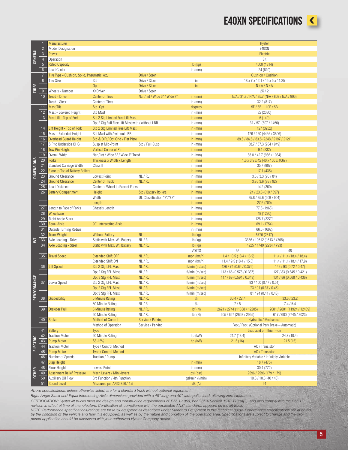#### E40XN SPECIFICATIONS



|                   | $\overline{1}$           | Manufacturer                                                                                 |                                                  |                               |                 |                                           | Hyster                                          |  |  |  |
|-------------------|--------------------------|----------------------------------------------------------------------------------------------|--------------------------------------------------|-------------------------------|-----------------|-------------------------------------------|-------------------------------------------------|--|--|--|
| <b>GENERAL</b>    | $\overline{2}$           | Model Designation                                                                            |                                                  |                               |                 |                                           | E40XN                                           |  |  |  |
|                   | $\overline{3}$           | Power                                                                                        |                                                  |                               |                 |                                           | Electric                                        |  |  |  |
|                   |                          |                                                                                              |                                                  |                               |                 |                                           |                                                 |  |  |  |
|                   | $\sqrt{4}$               | Operation                                                                                    |                                                  |                               |                 |                                           | Sit                                             |  |  |  |
|                   | $5\phantom{.0}$          | <b>Rated Capacity</b>                                                                        |                                                  |                               | $lb$ (kg)       |                                           | 4000 (1814)                                     |  |  |  |
|                   | $6\phantom{.}6$          | Load Center                                                                                  |                                                  |                               | in $(mm)$       | 24 (610)                                  |                                                 |  |  |  |
|                   | $\overline{7}$           | Tire Type - Cushion, Solid, Pneumatic, etc.                                                  |                                                  | Drive / Steer                 |                 |                                           | <b>Cushion / Cushion</b>                        |  |  |  |
|                   | $8\phantom{.}$           | <b>Tire Size</b>                                                                             | Std                                              | Drive / Steer                 | in              |                                           | 18 x 7 x 12.1 / 15 x 5 x 11.25                  |  |  |  |
| <b>TIRES</b>      |                          |                                                                                              | Opt                                              | Drive / Steer                 | in              |                                           | N/A/N/A                                         |  |  |  |
|                   | 9 <sup>°</sup>           | Wheels - Number                                                                              | X=Driven                                         | Drive / Steer                 |                 |                                           | 2X/2                                            |  |  |  |
|                   | 10 <sup>°</sup>          | Tread - Drive                                                                                | <b>Center of Tires</b>                           | Nar / Int / Wide 6" / Wide 7" | in $(mm)$       |                                           | N/A / 31.8 / N/A / 35.7 (N/A / 808 / N/A / 906) |  |  |  |
|                   |                          | Tread - Steer                                                                                | Center of Tires                                  |                               | in $(mm)$       |                                           | 32.2 (817)                                      |  |  |  |
|                   | 11                       | <b>Mast Tilt</b>                                                                             | Std Opt                                          |                               | degrees         |                                           | 5F / 5B 10F / 5B                                |  |  |  |
|                   | 12                       | Mast - Lowered Height                                                                        | Std Mast                                         |                               | in $(mm)$       |                                           | 82 (2080)                                       |  |  |  |
|                   | 13                       | Free Lift - Top of Fork                                                                      | Std 2 Stg Limited Free Lift Mast                 |                               | in $(mm)$       |                                           | 5(140)                                          |  |  |  |
|                   |                          |                                                                                              |                                                  |                               |                 |                                           |                                                 |  |  |  |
|                   |                          |                                                                                              | Opt 2 Stg Full Free Lift Mast with / without LBR |                               | in $(mm)$       |                                           | 31 / 57 (807 / 1456)                            |  |  |  |
|                   | 14                       | Lift Height - Top of Fork                                                                    | Std 2 Stg Limited Free Lift Mast                 |                               | in $(mm)$       |                                           | 127 (3232)                                      |  |  |  |
|                   | 15 <sub>15</sub>         | Mast - Extended Height                                                                       | Std Mast with / without LBR                      |                               | in $(mm)$       |                                           | 176 / 150 (4455 / 3806)                         |  |  |  |
|                   | 16                       | <b>Overhead Guard Height</b>                                                                 | Std & DIR / Opt Grid / Flat Plate                |                               | in $(mm)$       |                                           | 88.5 / 86.5 / 83.5 (2248 / 2197 / 2121)         |  |  |  |
|                   | 17                       | SIP to Underside OHG                                                                         | Susp at Mid-Point                                | Std / Full Susp               | in $(mm)$       |                                           | 38.7 / 37.3 (984 / 949)                         |  |  |  |
|                   | 18                       | <b>Tow Pin Height</b>                                                                        | <b>Vertical Center of Pin</b>                    |                               | in $(mm)$       |                                           | 9.1(232)                                        |  |  |  |
|                   | 19                       | Overall Width                                                                                | Nar / Int / Wide 6" / Wide 7" Tread              |                               | in $(mm)$       | 38.8 / 42.7 (986 / 1084)                  |                                                 |  |  |  |
|                   | 20 <sub>2</sub>          | <b>Forks</b>                                                                                 | Thickness x Width x Length                       |                               | in $(mm)$       |                                           | $1.6 \times 3.9 \times 42$ (40 x 100 x 1067)    |  |  |  |
| <b>DIMENSIONS</b> | 21                       | Standard Carriage Width                                                                      | Class II                                         |                               | in $(mm)$       | 35.7 (907)                                |                                                 |  |  |  |
|                   | 22                       | Floor to Top of Battery Rollers                                                              |                                                  |                               | in $(mm)$       | 17.1 (435)                                |                                                 |  |  |  |
|                   | 23                       | Ground Clearance                                                                             | Lowest Point                                     | NL / RL                       | in $(mm)$       |                                           | 3.5 / 3.3 (90 / 84)                             |  |  |  |
|                   | 24                       | <b>Ground Clearance</b>                                                                      | <b>Center of Truck</b>                           | NL / RL                       | in $(mm)$       |                                           | 3.9 / 3.6 (98 / 92)                             |  |  |  |
|                   | 25                       | Load Distance                                                                                | Center of Wheel to Face of Forks                 |                               | in $(mm)$       |                                           |                                                 |  |  |  |
|                   | 26                       |                                                                                              |                                                  | Std / Battery Rollers         |                 | 14.2 (360)<br>24 / 23.5 (610 / 597)       |                                                 |  |  |  |
|                   |                          | <b>Battery Compartment</b>                                                                   | Height                                           |                               | in $(mm)$       |                                           |                                                 |  |  |  |
|                   |                          |                                                                                              | Width                                            | UL Classification "E"/"EE"    | in $(mm)$       |                                           | 35.8 / 35.6 (909 / 904)                         |  |  |  |
|                   | Length<br>Chassis Length |                                                                                              |                                                  |                               | in $(mm)$       |                                           | 27.6 (700)                                      |  |  |  |
|                   | 27                       | Length to Face of Forks                                                                      |                                                  | in $(mm)$                     |                 | 77.5 (1968)                               |                                                 |  |  |  |
|                   | 28                       | Wheelbase                                                                                    |                                                  |                               | in $(mm)$       |                                           | 48 (1220)                                       |  |  |  |
|                   | 29                       | Right Angle Stack                                                                            |                                                  |                               | in $(mm)$       |                                           | 128.7 (3270)                                    |  |  |  |
|                   | 30 <sup>°</sup>          | Equal Aisle                                                                                  | 90° Intersecting Aisle                           |                               | in $(mm)$       |                                           | 69.1 (1754)                                     |  |  |  |
|                   | 31                       | Outside Turning Radius                                                                       |                                                  |                               | in $(mm)$       |                                           | 66.6 (1692)                                     |  |  |  |
|                   | 32                       | <b>Truck Weight</b>                                                                          | <b>Without Battery</b>                           | NL                            | Ib (kg)         |                                           | 5770 (2617)                                     |  |  |  |
| ä                 | 33                       | Axle Loading - Drive                                                                         | Static with Max. Wt. Battery                     | NL / RL                       | $lb$ (kg)       |                                           | 3336 / 10512 (1513 / 4768)                      |  |  |  |
|                   | 34                       | Axle Loading - Steer                                                                         | Static with Max. Wt. Battery                     | NL / RL                       | $lb$ (kg)       |                                           | 4925 / 1749 (2234 / 793)                        |  |  |  |
|                   |                          |                                                                                              |                                                  |                               | VOLTS           | 36                                        | 48                                              |  |  |  |
|                   | 35 <sub>5</sub>          | <b>Travel Speed</b>                                                                          | <b>Extended Shift OFF</b>                        | NL/RL                         | mph (km/h)      | 11.4 / 10.5 (18.4 / 16.9)                 | 11.4 / 11.4 (18.4 / 18.4)                       |  |  |  |
|                   |                          |                                                                                              | <b>Extended Shift ON</b>                         | NL / RL                       | mph (km/h)      | 11.4 / 9.5 (18.4 / 15.3)                  | 11.4 / 11.1 (18.4 / 17.9)                       |  |  |  |
|                   | 36                       | Lift Speed                                                                                   | Std 2 Stg LFL Mast                               | NL / RL                       | ft/min (m/sec)  | 126 / 74 (0.64 / 0.376)                   | 142 / 93 (0.72 / 0.47)                          |  |  |  |
|                   |                          |                                                                                              | Opt 2 Stg FFL Mast                               | NL / RL                       | ft/min (m/sec)  | 113 / 66 (0.573 / 0.337)                  | 127 / 83 (0.645 / 0.421)                        |  |  |  |
|                   |                          |                                                                                              | Opt 3 Stg FFL Mast                               | NL / RL                       | ft/min (m/sec)  | 117 / 69 (0.594 / 0.349)                  | 131 / 86 (0.668 / 0.436)                        |  |  |  |
| ORMANCE           | 37                       | Lower Speed                                                                                  | Std 2 Stg LFL Mast                               | NL / RL                       | ft/min (m/sec)  |                                           | 93 / 100 (0.47 / 0.51)                          |  |  |  |
|                   |                          |                                                                                              | Opt 2 Stg FFL Mast                               | NL / RL                       | ft/min (m/sec)  |                                           | 73 / 91 (0.37 / 0.46)                           |  |  |  |
|                   |                          |                                                                                              | Opt 3 Stg FFL Mast                               | $NL/RL$                       | ft/min (m/sec)  |                                           | 81 / 94 (0.41 / 0.48)                           |  |  |  |
| PER               |                          |                                                                                              |                                                  |                               |                 |                                           |                                                 |  |  |  |
|                   | 38                       | Gradeability                                                                                 | 5 Minute Rating                                  | NL/RL<br>NL / RL              | %<br>$\%$       | 30.4 / 22.7<br>7/5                        | 33.6 / 23.2<br>7.4 / 5.4                        |  |  |  |
|                   |                          |                                                                                              | 60 Minute Rating                                 |                               |                 |                                           |                                                 |  |  |  |
|                   | 39                       | Drawbar Pull                                                                                 | 5 Minute Rating                                  | NL/RL                         | Ibf(M)          | 2621 / 2744 (11658 / 12205)               | 2681 / 2801 (11924 / 12459)                     |  |  |  |
|                   |                          |                                                                                              | 60 Minute Rating                                 | NL / RL                       | Ibf(N)          | 605 / 667 (2693 / 2965)                   | 617 / 680 (2745 / 3023)                         |  |  |  |
|                   |                          | 40 Brake                                                                                     | Method of Control                                | Service / Parking             |                 |                                           | Hydraulic / Mechanical                          |  |  |  |
|                   |                          |                                                                                              | Method of Operation                              | Service / Parking             |                 |                                           | Foot / Foot (Optional Park Brake - Automatic)   |  |  |  |
|                   |                          | 41 Battery                                                                                   | Type                                             |                               |                 |                                           | Lead acid or lithium-ion                        |  |  |  |
|                   | 42                       | Traction Motor                                                                               | 60 Minute Rating                                 |                               | hp (kW)         | 24.7 (18.4)                               | 24.7 (18.4)                                     |  |  |  |
| ELECTRIC          | 43                       | Pump Motor                                                                                   | S3-15%                                           |                               | hp (kW)         | 21.5(16)<br>21.5(16)                      |                                                 |  |  |  |
|                   | 44                       | Type / Control Method<br><b>Traction Motor</b><br>Type / Control Method<br><b>Pump Motor</b> |                                                  |                               |                 | AC / Transistor                           |                                                 |  |  |  |
|                   | 45                       |                                                                                              |                                                  |                               |                 |                                           | AC / Transistor                                 |  |  |  |
|                   | 46                       | Number of Speeds                                                                             | Traction / Pump                                  |                               |                 | Infinitely Variable / Infinitely Variable |                                                 |  |  |  |
|                   | 47                       | Step Height                                                                                  |                                                  |                               | in $(mm)$       |                                           | 18.7 (475)                                      |  |  |  |
|                   | 48                       | Floor Height                                                                                 | Lowest Point                                     |                               | in $(mm)$       |                                           |                                                 |  |  |  |
| <b>OTHER</b>      | 49                       | <b>Attachment Relief Pressure</b>                                                            | Mech Levers / Mini-levers                        |                               | psi (bar)       | 30.4 (772)<br>2596 / 2596 (179 / 179)     |                                                 |  |  |  |
|                   | 50 <sub>2</sub>          | Auxiliary Oil Flow                                                                           | 3rd Function / 4th Function                      |                               | gal/min (I/min) |                                           | 10.6 / 10.6 (40 / 40)                           |  |  |  |
|                   | 51                       | Sound Level                                                                                  | Measured per ANSI B56.11.5                       |                               | dB(A)           |                                           |                                                 |  |  |  |
|                   |                          |                                                                                              |                                                  |                               |                 | 64                                        |                                                 |  |  |  |

*Above specifications, unless otherwise listed, are for a standard truck without optional equipment.*

*Right Angle Stack and Equal Intersecting Aisle dimensions provided with a 48" long and 40" wide pallet load, allowing zero clearance.* 

CERTIFICATION: Hyster lift trucks meet the design and construction requirements of B56.1-1969, per OSHA Section 1910.178(a)(2), and also comply with the B56.1<br>revision in effect at time of manufacture. Certification of com

by the condition of the vehicle and how it is equipped, as well as by the nature and condition of the operating area. Specifications are subject to change and the pro-<br>posed application should be discussed with your author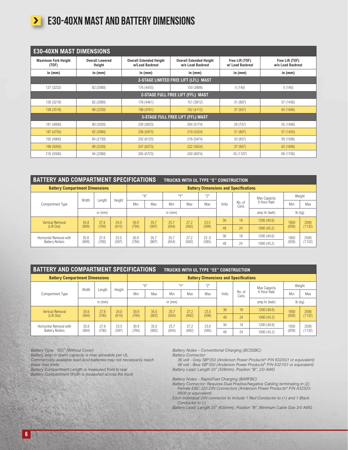

## **E30-40XN MAST AND BATTERY DIMENSIONS**

| <b>E30-40XN MAST DIMENSIONS</b>                                         |           |                                                   |                                                     |                                     |                                      |  |  |  |  |  |  |
|-------------------------------------------------------------------------|-----------|---------------------------------------------------|-----------------------------------------------------|-------------------------------------|--------------------------------------|--|--|--|--|--|--|
| <b>Overall Lowered</b><br><b>Maximum Fork Height</b><br>(TOF)<br>Height |           | <b>Overall Extended Height</b><br>w/Load Backrest | <b>Overall Extended Height</b><br>w/o Load Backrest | Free Lift (TOF)<br>w/ Load Backrest | Free Lift (TOF)<br>w/o Load Backrest |  |  |  |  |  |  |
| in $(mm)$                                                               | in $(mm)$ | in (mm)                                           | in $(mm)$                                           | in (mm)                             | in $(mm)$                            |  |  |  |  |  |  |
| 2-STAGE LIMITED FREE LIFT (LFL) MAST                                    |           |                                                   |                                                     |                                     |                                      |  |  |  |  |  |  |
| 127 (3232)                                                              | 82 (2080) | 176 (4455)                                        | 150 (3806)                                          | 5(140)                              | 5(140)                               |  |  |  |  |  |  |
| 2-STAGE FULL FREE LIFT (FFL) MAST                                       |           |                                                   |                                                     |                                     |                                      |  |  |  |  |  |  |
| 126 (3218)                                                              | 82 (2080) | 176 (4461)                                        | 151 (3812)                                          | 31 (807)                            | 57 (1456)                            |  |  |  |  |  |  |
| 138 (3518)                                                              | 88 (2230) | 188 (4761)                                        | 162 (4112)                                          |                                     | 63 (1606)                            |  |  |  |  |  |  |
|                                                                         |           |                                                   | <b>3-STAGE FULL FREE LIFT (FFL) MAST</b>            |                                     |                                      |  |  |  |  |  |  |
| 181 (4600)                                                              | 80 (2030) | 230 (5823)                                        | 204 (5174)                                          | 29 (757)                            | 55 (1406)                            |  |  |  |  |  |  |
| 187 (4750)                                                              | 82 (2080) | 236 (5973)                                        | 210 (5324)                                          | 31 (807)                            | 57 (1455)                            |  |  |  |  |  |  |
| 192 (4900)                                                              | 84 (2130) | 242 (6123)                                        | 216 (5474)                                          | 33 (857)                            | 59 (1506)                            |  |  |  |  |  |  |
| 198 (5050)                                                              | 88 (2230) | 247 (6273)                                        | 222 (5624)                                          | 37(957)                             | 63 (1606)                            |  |  |  |  |  |  |
| 216 (5500)                                                              | 94 (2380) | 265 (6723)                                        | 240 (6074)                                          | 43 (1107)                           | 69 (1756)                            |  |  |  |  |  |  |

| <b>BATTERY AND COMPARTMENT SPECIFICATIONS</b> |               |        | <b>TRUCKS WITH UL TYPE "E" CONSTRUCTION</b> |           |                                              |       |       |       |       |                 |              |        |        |  |  |  |      |      |      |      |      |      |      |    |    |             |      |      |
|-----------------------------------------------|---------------|--------|---------------------------------------------|-----------|----------------------------------------------|-------|-------|-------|-------|-----------------|--------------|--------|--------|--|--|--|------|------|------|------|------|------|------|----|----|-------------|------|------|
| <b>Battery Compartment Dimensions</b>         |               |        |                                             |           | <b>Battery Dimensions and Specifications</b> |       |       |       |       |                 |              |        |        |  |  |  |      |      |      |      |      |      |      |    |    |             |      |      |
|                                               |               |        |                                             |           | "Х"                                          | ''V'' |       | 1171  |       |                 | Max Capacity | Weight |        |  |  |  |      |      |      |      |      |      |      |    |    |             |      |      |
| Compartment Type                              | Width         | Length | Height                                      | Min       | Max                                          | Min   | Max   | Max   | Volts | No. of<br>Cells | 6 Hour Rate  | Min    | Max    |  |  |  |      |      |      |      |      |      |      |    |    |             |      |      |
|                                               | in $(mm)$     |        |                                             | in $(mm)$ |                                              |       |       |       |       | amp hr (kwh)    | $Ib$ (kg)    |        |        |  |  |  |      |      |      |      |      |      |      |    |    |             |      |      |
| <b>Vertical Removal</b>                       | 35.8          | 27.6   | 24.0                                        | 30.9      | 35.7                                         | 25.7  | 27.2  | 23.5  | 36    | 18              | 1200(40.6)   | 1850   | 2500   |  |  |  |      |      |      |      |      |      |      |    |    |             |      |      |
| (Lift Out)                                    | (909)         | (700)  | (610)                                       | (784)     | (907)                                        | (654) | (692) | (598) | 48    | 24              | 1000(45.2)   | (839)  | (1132) |  |  |  |      |      |      |      |      |      |      |    |    |             |      |      |
| Horizontal Removal with                       | 35.8<br>(909) |        |                                             |           |                                              |       |       |       |       |                 |              |        |        |  |  |  | 27.6 | 23.5 | 30.9 | 35.7 | 25.7 | 27.2 | 23.0 | 36 | 18 | 1200 (40.6) | 1850 | 2500 |
| <b>Battery Rollers</b>                        |               | (700)  | (597                                        | (784)     | (907)                                        | (654) | (692) | (585) | 48    | 24              | 1000 (45.2)  | (839)  | 1132)  |  |  |  |      |      |      |      |      |      |      |    |    |             |      |      |

| <b>BATTERY AND COMPARTMENT SPECIFICATIONS</b><br><b>TRUCKS WITH UL TYPE "EE" CONSTRUCTION</b> |               |        |        |           |                                              |                   |       |            |       |                 |              |        |        |      |      |      |      |      |    |    |             |      |      |
|-----------------------------------------------------------------------------------------------|---------------|--------|--------|-----------|----------------------------------------------|-------------------|-------|------------|-------|-----------------|--------------|--------|--------|------|------|------|------|------|----|----|-------------|------|------|
| <b>Battery Compartment Dimensions</b>                                                         |               |        |        |           | <b>Battery Dimensions and Specifications</b> |                   |       |            |       |                 |              |        |        |      |      |      |      |      |    |    |             |      |      |
|                                                                                               | Width         |        | Height | "Х"       |                                              | $III\setminus/II$ |       | $11 - 711$ |       |                 | Max Capacity | Weight |        |      |      |      |      |      |    |    |             |      |      |
| Compartment Type                                                                              |               | Length |        | Min       | Max                                          | Min               | Max   | Max        | Volts | No. of<br>Cells | 6 Hour Rate  | Min    | Max    |      |      |      |      |      |    |    |             |      |      |
|                                                                                               | in $(mm)$     |        |        | in $(mm)$ |                                              |                   |       |            |       | amp hr (kwh)    | $lb$ (kg)    |        |        |      |      |      |      |      |    |    |             |      |      |
| <b>Vertical Removal</b>                                                                       | 35.6          | 27.6   | 74.0   | 30.9      | 35.5                                         | 25.7              | 27.2  | 23.5       | 36    | 18              | 1200 (40.6)  | 1850   | 2500   |      |      |      |      |      |    |    |             |      |      |
| (Lift Out)                                                                                    | (904)         | (700)  | (610)  | (784)     | (902)                                        | (654)             | (692) | (598)      | 48    | 24              | 1000(45.2)   | (839)  | (1132) |      |      |      |      |      |    |    |             |      |      |
| Horizontal Removal with                                                                       | 35.6<br>(904) | 27.6   |        |           |                                              |                   |       |            |       |                 |              | 23.5   |        | 30.9 | 35.5 | 25.7 | 27.2 | 23.0 | 36 | 18 | 1200 (40.6) | 1850 | 2500 |
| <b>Battery Rollers</b>                                                                        |               | (700)  | (597   | (784)     | (902)                                        | (654)             | (692) | (585)      | 48    | 24              | 1000 (45.2)  | (839)  | (1132) |      |      |      |      |      |    |    |             |      |      |

*Battery Type: "EO" (Without Cover)*

83 a

*Battery amp hr (kwh) capacity is max allowable per UL*

*Commercially available lead acid batteries may not necessarily reach these max limits*

**コモリス** 

VA.

*Battery Compartment Length is measured front to rear*

*Battery Compartment Width is measured across the truck*

*Battery Notes – Conventional Charging (BCSSBC)*

*Battery Connector:*

*36 volt - Grey SB®350 (Anderson Power Products® P/N 6320G1 or equivalent) 48 volt - Blue SB®350 (Anderson Power Products® P/N 6321G1 or equivalent) Battery Lead: Length 20" (508mm). Position "B", 2/0 AWG*

*Battery Notes – Rapid/Fast Charging (BARFBC)*

*Battery Connector: Requires Dual Positive/Negative Cabling terminating in (2) Female EBC-320 DIN Connectors (Anderson Power Products® P/N A32503- 0009 or equivalent)*

*Each individual DIN connector to include 1 Red Conductor to (+) and 1 Black Conductor to (-)*

*Battery Lead: Length 25" (635mm). Position "B", Minimum Cable Size 3/0 AWG*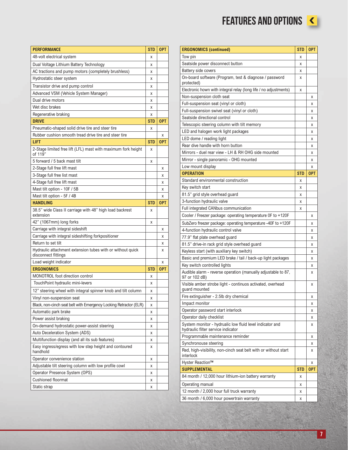FEATURES AND OPTIONS

| and the state of the state of the state of the state of the state of the state of the state of the state of th<br><b>Contract Contract Contract Contract Contract Contract Contract Contract Contract Contract Contract Contract Co</b> |  |
|-----------------------------------------------------------------------------------------------------------------------------------------------------------------------------------------------------------------------------------------|--|
|                                                                                                                                                                                                                                         |  |

| <b>PERFORMANCE</b>                                                                | <b>STD</b> | <b>OPT</b> |
|-----------------------------------------------------------------------------------|------------|------------|
| 48-volt electrical system                                                         | X          |            |
| Dual Voltage Lithium Battery Technology                                           | х          |            |
| AC tractions and pump motors (completely brushless)                               | Χ          |            |
| Hydrostatic steer system                                                          | х          |            |
| Transistor drive and pump control                                                 | X          |            |
| Advanced VSM (Vehicle System Manager)                                             | X          |            |
| Dual drive motors                                                                 | X          |            |
| Wet disc brakes                                                                   | X          |            |
| Regenerative braking                                                              | X          |            |
| <b>DRIVE</b>                                                                      | <b>STD</b> | <b>OPT</b> |
| Pneumatic-shaped solid drive tire and steer tire                                  | X          |            |
| Rubber cushion smooth tread drive tire and steer tire                             |            | X          |
| LIFT                                                                              | <b>STD</b> | <b>OPT</b> |
| 2-Stage limited free lift (LFL) mast with maximum fork height<br>of 119"          | Χ          |            |
| 5 forward / 5 back mast tilt                                                      | Χ          |            |
| 2-Stage full free lift mast                                                       |            | Χ          |
| 3-Stage full free list mast                                                       |            | Χ          |
| 4-Stage full free lift mast                                                       |            | Χ          |
| Mast tilt option - 10F / 5B                                                       |            | х          |
| Mast tilt option - 5F / 4B                                                        |            | Χ          |
| <b>HANDLING</b>                                                                   | <b>STD</b> | <b>OPT</b> |
| 38.5" wide Class II carriage with 48" high load backrest<br>extension             | X          |            |
| 42" (1067mm) long forks                                                           | X          |            |
| Carriage with integral sideshift                                                  |            | X          |
| Carriage with integral sideshifting forkpositioner                                |            | X          |
| Return to set tilt                                                                |            | X          |
| Hydraulic attachment extension tubes with or without quick<br>disconnect fittings |            | X          |
| Load weight indicator                                                             |            | X          |
| <b>ERGONOMICS</b>                                                                 | <b>STD</b> | <b>OPT</b> |
| MONOTROL foot direction control                                                   | χ          |            |
| TouchPoint hydraulic mini-levers                                                  | Χ          |            |
| 12" steering wheel with integral spinner knob and tilt column                     | Χ          |            |
| Vinyl non-suspension seat                                                         | X          |            |
| Black, non-cinch seat belt with Emergency Locking Retractor (ELR)                 | X          |            |
| Automatic park brake                                                              | x          |            |
| Power assist braking                                                              | х          |            |
| On-demand hydrostatic power-assist steering                                       | х          |            |
| Auto Deceleration System (ADS)                                                    | х          |            |
| Multifunction display (and all its sub features)                                  | Χ          |            |
| Easy ingress/egress with low step height and contoured<br>handhold                | x          |            |
| Operator convenience station                                                      | Χ          |            |
| Adjustable tilt steering column with low profile cowl                             | Χ          |            |
| Operator Presence System (OPS)                                                    | х          |            |
| <b>Cushioned floormat</b>                                                         | Χ          |            |
| Static strap                                                                      | Χ          |            |

| <b>ERGONOMICS (continued)</b>                                                                  | <b>STD</b> | OPT        |
|------------------------------------------------------------------------------------------------|------------|------------|
| Tow pin                                                                                        | X          |            |
| Seatside power disconnect button                                                               | X          |            |
| Battery side covers                                                                            | x          |            |
| On-board software (Program, test & diagnose / password<br>protected)                           | X          |            |
| Electronic hown with integral relay (long life / no adjustments)                               | X          |            |
| Non-suspension cloth seat                                                                      |            | x          |
| Full-suspension seat (vinyl or cloth)                                                          |            | Χ          |
| Full-suspension swivel seat (vinyl or cloth)                                                   |            | Χ          |
| Seatside directional control                                                                   |            | Χ          |
| Telescopic steering column with tilt memory                                                    |            | x          |
| LED and halogen work light packages                                                            |            | Χ          |
| LED dome / reading light                                                                       |            | Χ          |
| Rear dive handle with horn button                                                              |            | Χ          |
| Mirrors - duel rear view - LH & RH OHG side mounted                                            |            | x          |
| Mirror - single panoramic - OHG mounted                                                        |            | x          |
| Low mount display                                                                              |            | X          |
| <b>OPERATION</b>                                                                               | <b>STD</b> | <b>OPT</b> |
| Standard environmental construction                                                            | X          |            |
| Key switch start                                                                               | X          |            |
| 81.5" grid style overhead guard                                                                | X          |            |
| 3-function hydraulic valve                                                                     | X          |            |
| Full integrated CANbus communication                                                           | X          |            |
| Cooler / Freezer package: operating temperature OF to +120F                                    |            | χ          |
| SubZero freezer package: operating temperature -40F to +120F                                   |            | Χ          |
| 4-function hydraulic control valve                                                             |            | x          |
| 77.9" flat plate overhead guard                                                                |            | χ          |
| 81.5" drive-in rack grid style overhead guard                                                  |            | Χ          |
| Keyless start (with auxiliary key switch)                                                      |            | Χ          |
| Basic and premium LED brake / tail / back-up light packages                                    |            | x          |
| Key switch controlled lights                                                                   |            | x          |
| Audible alarm - reverse operation (manually adjustable to 87,<br>97 or 102 dB)                 |            | X          |
| Visible amber strobe light - continuos activated, overhead<br>guard mounted                    |            | χ          |
| Fire extinguisher - 2.5lb dry chemical                                                         |            | χ          |
| Impact monitor                                                                                 |            | Χ          |
| Operator password start interlock                                                              |            | x          |
| Operator daily checklist                                                                       |            | x          |
| System monitor - hydrualic low fluid level indicator and<br>hydraulic filter service indicator |            | x          |
| Programmable maintenance reminder                                                              |            | Χ          |
| Synchronouse steering                                                                          |            | X          |
| Red, high-visibility, non-cinch seat belt with or without start<br>interlock                   |            | x          |
| Hyster Reaction™                                                                               |            | Χ          |
| <b>SUPPLEMENTAL</b>                                                                            | <b>STD</b> | <b>OPT</b> |
| 84 month / 12,000 hour lithium-ion battery warranty                                            | X          |            |
| Operating manual                                                                               | Χ          |            |
| 12 month / 2,000 hour full truck warranty                                                      | X          |            |
| 36 month / 6,000 hour powertrain warranty                                                      | X          |            |

7